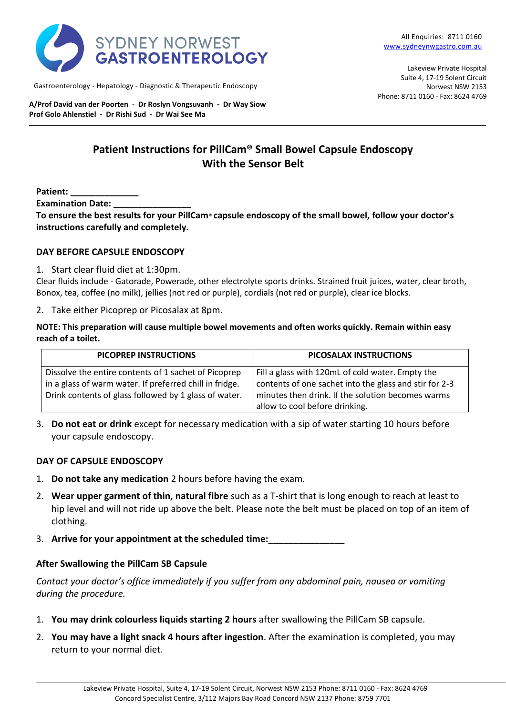

Gastroenterology - Hepatology - Diagnostic & Therapeutic Endoscopy

**A/Prof David van der Poorten** - **Dr Roslyn Vongsuvanh - Dr Way Siow Prof Golo Ahlenstiel - Dr Rishi Sud - Dr Wai See Ma**

Lakeview Private Hospital Suite 4, 17-19 Solent Circuit Norwest NSW 2153 Phone: 8711 0160 - Fax: 8624 4769

# **Patient Instructions for PillCam® Small Bowel Capsule Endoscopy With the Sensor Belt**

**Patient: \_\_\_\_\_\_\_\_\_\_\_\_\_\_** 

**Examination Date:** 

**To ensure the best results for your PillCam® capsule endoscopy of the small bowel, follow your doctor's instructions carefully and completely.**

#### **DAY BEFORE CAPSULE ENDOSCOPY**

1. Start clear fluid diet at 1:30pm.

Clear fluids include - Gatorade, Powerade, other electrolyte sports drinks. Strained fruit juices, water, clear broth, Bonox, tea, coffee (no milk), jellies (not red or purple), cordials (not red or purple), clear ice blocks.

2. Take either Picoprep or Picosalax at 8pm.

**NOTE: This preparation will cause multiple bowel movements and often works quickly. Remain within easy reach of a toilet.**

| PICOPREP INSTRUCTIONS                                                                                                                                                    | PICOSALAX INSTRUCTIONS                                                                                                                                                                            |
|--------------------------------------------------------------------------------------------------------------------------------------------------------------------------|---------------------------------------------------------------------------------------------------------------------------------------------------------------------------------------------------|
| Dissolve the entire contents of 1 sachet of Picoprep<br>in a glass of warm water. If preferred chill in fridge.<br>Drink contents of glass followed by 1 glass of water. | Fill a glass with 120mL of cold water. Empty the<br>contents of one sachet into the glass and stir for 2-3<br>minutes then drink. If the solution becomes warms<br>allow to cool before drinking. |

3. **Do not eat or drink** except for necessary medication with a sip of water starting 10 hours before your capsule endoscopy.

### **DAY OF CAPSULE ENDOSCOPY**

- 1. **Do not take any medication** 2 hours before having the exam.
- 2. **Wear upper garment of thin, natural fibre** such as a T-shirt that is long enough to reach at least to hip level and will not ride up above the belt. Please note the belt must be placed on top of an item of clothing.
- 3. **Arrive for your appointment at the scheduled time:\_\_\_\_\_\_\_\_\_\_\_\_\_\_\_**

### **After Swallowing the PillCam SB Capsule**

*Contact your doctor's office immediately if you suffer from any abdominal pain, nausea or vomiting during the procedure.*

- 1. **You may drink colourless liquids starting 2 hours** after swallowing the PillCam SB capsule.
- 2. **You may have a light snack 4 hours after ingestion**. After the examination is completed, you may return to your normal diet.